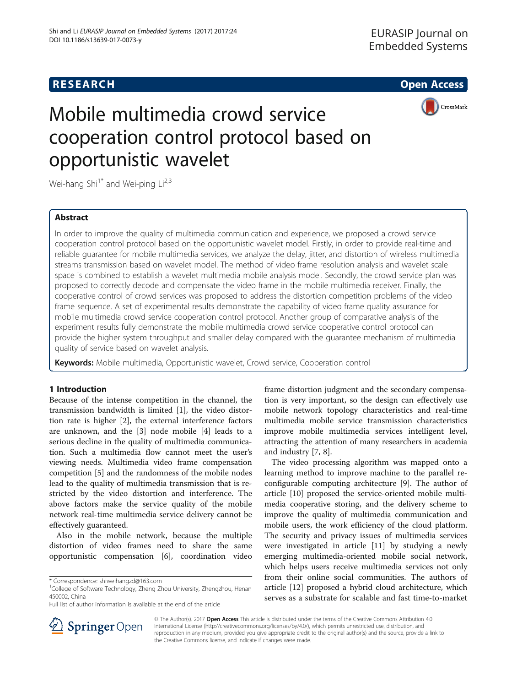## **RESEARCH CHE Open Access**



# Mobile multimedia crowd service cooperation control protocol based on opportunistic wavelet

Wei-hang  $\text{Shi}^{1*}$  and Wei-ping  $\text{Li}^{2,3}$ 

## Abstract

In order to improve the quality of multimedia communication and experience, we proposed a crowd service cooperation control protocol based on the opportunistic wavelet model. Firstly, in order to provide real-time and reliable guarantee for mobile multimedia services, we analyze the delay, jitter, and distortion of wireless multimedia streams transmission based on wavelet model. The method of video frame resolution analysis and wavelet scale space is combined to establish a wavelet multimedia mobile analysis model. Secondly, the crowd service plan was proposed to correctly decode and compensate the video frame in the mobile multimedia receiver. Finally, the cooperative control of crowd services was proposed to address the distortion competition problems of the video frame sequence. A set of experimental results demonstrate the capability of video frame quality assurance for mobile multimedia crowd service cooperation control protocol. Another group of comparative analysis of the experiment results fully demonstrate the mobile multimedia crowd service cooperative control protocol can provide the higher system throughput and smaller delay compared with the guarantee mechanism of multimedia quality of service based on wavelet analysis.

Keywords: Mobile multimedia, Opportunistic wavelet, Crowd service, Cooperation control

## 1 Introduction

Because of the intense competition in the channel, the transmission bandwidth is limited [\[1](#page-4-0)], the video distortion rate is higher [\[2](#page-4-0)], the external interference factors are unknown, and the [[3](#page-4-0)] node mobile [[4\]](#page-4-0) leads to a serious decline in the quality of multimedia communication. Such a multimedia flow cannot meet the user's viewing needs. Multimedia video frame compensation competition [\[5\]](#page-4-0) and the randomness of the mobile nodes lead to the quality of multimedia transmission that is restricted by the video distortion and interference. The above factors make the service quality of the mobile network real-time multimedia service delivery cannot be effectively guaranteed.

Also in the mobile network, because the multiple distortion of video frames need to share the same opportunistic compensation [\[6\]](#page-4-0), coordination video frame distortion judgment and the secondary compensation is very important, so the design can effectively use mobile network topology characteristics and real-time multimedia mobile service transmission characteristics improve mobile multimedia services intelligent level, attracting the attention of many researchers in academia and industry [\[7](#page-4-0), [8](#page-4-0)].

The video processing algorithm was mapped onto a learning method to improve machine to the parallel reconfigurable computing architecture [\[9](#page-4-0)]. The author of article [[10\]](#page-4-0) proposed the service-oriented mobile multimedia cooperative storing, and the delivery scheme to improve the quality of multimedia communication and mobile users, the work efficiency of the cloud platform. The security and privacy issues of multimedia services were investigated in article [\[11\]](#page-4-0) by studying a newly emerging multimedia-oriented mobile social network, which helps users receive multimedia services not only from their online social communities. The authors of article [[12\]](#page-4-0) proposed a hybrid cloud architecture, which serves as a substrate for scalable and fast time-to-market



© The Author(s). 2017 **Open Access** This article is distributed under the terms of the Creative Commons Attribution 4.0 International License ([http://creativecommons.org/licenses/by/4.0/\)](http://creativecommons.org/licenses/by/4.0/), which permits unrestricted use, distribution, and reproduction in any medium, provided you give appropriate credit to the original author(s) and the source, provide a link to the Creative Commons license, and indicate if changes were made.

<sup>\*</sup> Correspondence: [shiweihangzd@163.com](mailto:shiweihangzd@163.com) <sup>1</sup>

<sup>&</sup>lt;sup>1</sup>College of Software Technology, Zheng Zhou University, Zhengzhou, Henan 450002, China

Full list of author information is available at the end of the article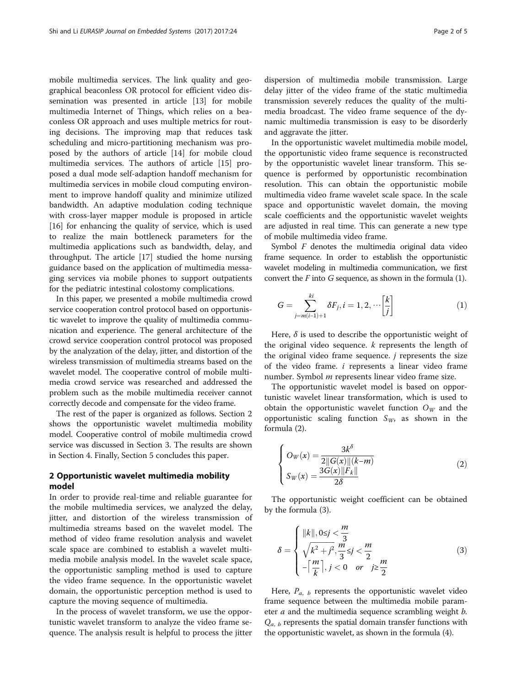mobile multimedia services. The link quality and geographical beaconless OR protocol for efficient video dissemination was presented in article [\[13\]](#page-4-0) for mobile multimedia Internet of Things, which relies on a beaconless OR approach and uses multiple metrics for routing decisions. The improving map that reduces task scheduling and micro-partitioning mechanism was proposed by the authors of article [\[14](#page-4-0)] for mobile cloud multimedia services. The authors of article [\[15](#page-4-0)] proposed a dual mode self-adaption handoff mechanism for multimedia services in mobile cloud computing environment to improve handoff quality and minimize utilized bandwidth. An adaptive modulation coding technique with cross-layer mapper module is proposed in article [[16\]](#page-4-0) for enhancing the quality of service, which is used to realize the main bottleneck parameters for the multimedia applications such as bandwidth, delay, and throughput. The article [\[17\]](#page-4-0) studied the home nursing guidance based on the application of multimedia messaging services via mobile phones to support outpatients for the pediatric intestinal colostomy complications.

In this paper, we presented a mobile multimedia crowd service cooperation control protocol based on opportunistic wavelet to improve the quality of multimedia communication and experience. The general architecture of the crowd service cooperation control protocol was proposed by the analyzation of the delay, jitter, and distortion of the wireless transmission of multimedia streams based on the wavelet model. The cooperative control of mobile multimedia crowd service was researched and addressed the problem such as the mobile multimedia receiver cannot correctly decode and compensate for the video frame.

The rest of the paper is organized as follows. Section 2 shows the opportunistic wavelet multimedia mobility model. Cooperative control of mobile multimedia crowd service was discussed in Section [3](#page-2-0). The results are shown in Section [4](#page-3-0). Finally, Section [5](#page-4-0) concludes this paper.

## 2 Opportunistic wavelet multimedia mobility model

In order to provide real-time and reliable guarantee for the mobile multimedia services, we analyzed the delay, jitter, and distortion of the wireless transmission of multimedia streams based on the wavelet model. The method of video frame resolution analysis and wavelet scale space are combined to establish a wavelet multimedia mobile analysis model. In the wavelet scale space, the opportunistic sampling method is used to capture the video frame sequence. In the opportunistic wavelet domain, the opportunistic perception method is used to capture the moving sequence of multimedia.

In the process of wavelet transform, we use the opportunistic wavelet transform to analyze the video frame sequence. The analysis result is helpful to process the jitter dispersion of multimedia mobile transmission. Large delay jitter of the video frame of the static multimedia transmission severely reduces the quality of the multimedia broadcast. The video frame sequence of the dynamic multimedia transmission is easy to be disorderly and aggravate the jitter.

In the opportunistic wavelet multimedia mobile model, the opportunistic video frame sequence is reconstructed by the opportunistic wavelet linear transform. This sequence is performed by opportunistic recombination resolution. This can obtain the opportunistic mobile multimedia video frame wavelet scale space. In the scale space and opportunistic wavelet domain, the moving scale coefficients and the opportunistic wavelet weights are adjusted in real time. This can generate a new type of mobile multimedia video frame.

Symbol F denotes the multimedia original data video frame sequence. In order to establish the opportunistic wavelet modeling in multimedia communication, we first convert the  $F$  into  $G$  sequence, as shown in the formula  $(1)$ .

$$
G = \sum_{j=m(i-1)+1}^{ki} \delta F_j, i = 1, 2, \cdots \left[\frac{k}{j}\right]
$$
 (1)

Here,  $\delta$  is used to describe the opportunistic weight of the original video sequence.  $k$  represents the length of the original video frame sequence.  $j$  represents the size of the video frame. i represents a linear video frame number. Symbol m represents linear video frame size.

The opportunistic wavelet model is based on opportunistic wavelet linear transformation, which is used to obtain the opportunistic wavelet function  $O_W$  and the opportunistic scaling function  $S_W$ , as shown in the formula (2).

$$
\begin{cases}\nO_W(x) = \frac{3k^{\delta}}{2||G(x)||(k-m)} \\
S_W(x) = \frac{3G(x)||F_k||}{2\delta}\n\end{cases}
$$
\n(2)

The opportunistic weight coefficient can be obtained by the formula (3).

$$
\delta = \begin{cases} ||k||, 0 \le j < \frac{m}{3} \\ \sqrt{k^2 + j^2}, \frac{m}{3} \le j < \frac{m}{2} \\ -\left\lceil \frac{m}{k} \right\rceil, j < 0 \quad \text{or} \quad j \ge \frac{m}{2} \end{cases} \tag{3}
$$

Here,  $P_{a, b}$  represents the opportunistic wavelet video frame sequence between the multimedia mobile parameter  $a$  and the multimedia sequence scrambling weight  $b$ .  $Q_{a, b}$  represents the spatial domain transfer functions with the opportunistic wavelet, as shown in the formula ([4\)](#page-2-0).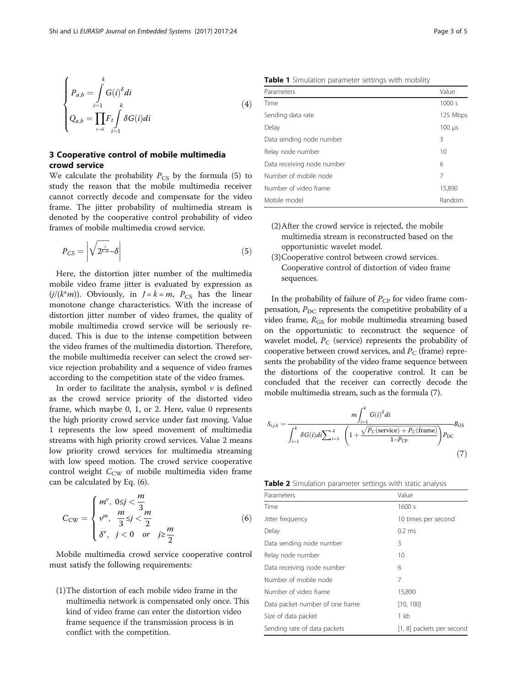<span id="page-2-0"></span>
$$
\begin{cases}\nP_{a,b} = \int_{i=1}^{k} G(i)^{\delta} di \\
Q_{a,b} = \prod_{t \to k} F_t \int_{i=1}^{k} \delta G(i) di\n\end{cases} \tag{4}
$$

## 3 Cooperative control of mobile multimedia crowd service

We calculate the probability  $P_{CS}$  by the formula (5) to study the reason that the mobile multimedia receiver cannot correctly decode and compensate for the video frame. The jitter probability of multimedia stream is denoted by the cooperative control probability of video frames of mobile multimedia crowd service.

$$
P_{CS} = \left| \sqrt{2^{\frac{j}{k-m}}} - \delta \right| \tag{5}
$$

Here, the distortion jitter number of the multimedia mobile video frame jitter is evaluated by expression as  $(j/(k<sup>*</sup>m))$ . Obviously, in  $J = k = m$ ,  $P_{CS}$  has the linear monotone change characteristics. With the increase of distortion jitter number of video frames, the quality of mobile multimedia crowd service will be seriously reduced. This is due to the intense competition between the video frames of the multimedia distortion. Therefore, the mobile multimedia receiver can select the crowd service rejection probability and a sequence of video frames according to the competition state of the video frames.

In order to facilitate the analysis, symbol  $\nu$  is defined as the crowd service priority of the distorted video frame, which maybe 0, 1, or 2. Here, value 0 represents the high priority crowd service under fast moving. Value 1 represents the low speed movement of multimedia streams with high priority crowd services. Value 2 means low priority crowd services for multimedia streaming with low speed motion. The crowd service cooperative control weight  $C_{\text{CW}}$  of mobile multimedia video frame can be calculated by Eq. (6).

$$
C_{\text{CW}} = \begin{cases} m^{\nu}, & 0 \le j < \frac{m}{3} \\ v^m, & \frac{m}{3} \le j < \frac{m}{2} \\ \delta^{\nu}, & j < 0 \quad \text{or} \quad j \ge \frac{m}{2} \end{cases} \tag{6}
$$

Mobile multimedia crowd service cooperative control must satisfy the following requirements:

(1)The distortion of each mobile video frame in the multimedia network is compensated only once. This kind of video frame can enter the distortion video frame sequence if the transmission process is in conflict with the competition.

| Table 1 Simulation parameter settings with mobility |  |  |  |
|-----------------------------------------------------|--|--|--|
|                                                     |  |  |  |

| Parameters                 | Value       |
|----------------------------|-------------|
| Time                       | 1000 s      |
| Sending data rate          | 125 Mbps    |
| Delay                      | $100 \mu s$ |
| Data sending node number   | 3           |
| Relay node number          | 10          |
| Data receiving node number | 6           |
| Number of mobile node      | 7           |
| Number of video frame      | 15,890      |
| Mobile model               | Random      |

- (2)After the crowd service is rejected, the mobile multimedia stream is reconstructed based on the opportunistic wavelet model.
- (3)Cooperative control between crowd services. Cooperative control of distortion of video frame sequences.

In the probability of failure of  $P_{CP}$  for video frame compensation,  $P_{\text{DC}}$  represents the competitive probability of a video frame,  $R_{GS}$  for mobile multimedia streaming based on the opportunistic to reconstruct the sequence of wavelet model,  $P_{\text{C}}$  (service) represents the probability of cooperative between crowd services, and  $P_C$  (frame) represents the probability of the video frame sequence between the distortions of the cooperative control. It can be concluded that the receiver can correctly decode the mobile multimedia stream, such as the formula (7).

$$
S_{i,j,k} = \frac{m \int_{i=1}^{k} G(i)^{\delta} di}{\int_{i=1}^{k} \delta G(i) di \sum_{i=1}^{k} \left(1 + \frac{\sqrt{P_{C}(\text{service}) + P_{C}(\text{frame})}}{1 - P_{\text{CP}}}\right) P_{\text{DC}}} R_{\text{GS}}
$$
\n(7)

| Table 2 Simulation parameter settings with static analysis |  |  |  |  |  |
|------------------------------------------------------------|--|--|--|--|--|
|------------------------------------------------------------|--|--|--|--|--|

| Parameters                      | Value                     |  |  |
|---------------------------------|---------------------------|--|--|
| Time                            | 1600 s                    |  |  |
| Jitter frequency                | 10 times per second       |  |  |
| Delay                           | $0.2 \text{ ms}$          |  |  |
| Data sending node number        | 3                         |  |  |
| Relay node number               | 10                        |  |  |
| Data receiving node number      | 6                         |  |  |
| Number of mobile node           | 7                         |  |  |
| Number of video frame           | 15,890                    |  |  |
| Data packet number of one frame | [10, 100]                 |  |  |
| Size of data packet             | 1 kb                      |  |  |
| Sending rate of data packets    | [1, 8] packets per second |  |  |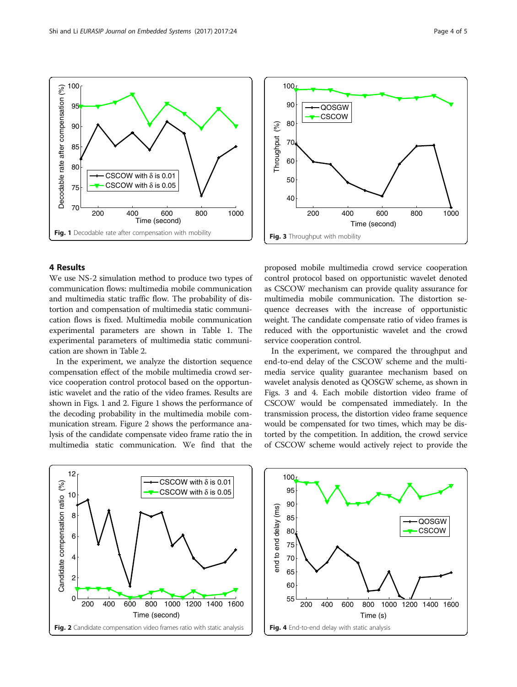We use NS-2 simulation method to produce two types of communication flows: multimedia mobile communication and multimedia static traffic flow. The probability of distortion and compensation of multimedia static communication flows is fixed. Multimedia mobile communication experimental parameters are shown in Table [1.](#page-2-0) The experimental parameters of multimedia static communication are shown in Table [2.](#page-2-0)

4 Results

In the experiment, we analyze the distortion sequence compensation effect of the mobile multimedia crowd service cooperation control protocol based on the opportunistic wavelet and the ratio of the video frames. Results are shown in Figs. 1 and 2. Figure 1 shows the performance of the decoding probability in the multimedia mobile communication stream. Figure 2 shows the performance analysis of the candidate compensate video frame ratio the in multimedia static communication. We find that the

control protocol based on opportunistic wavelet denoted as CSCOW mechanism can provide quality assurance for multimedia mobile communication. The distortion sequence decreases with the increase of opportunistic weight. The candidate compensate ratio of video frames is reduced with the opportunistic wavelet and the crowd service cooperation control. In the experiment, we compared the throughput and end-to-end delay of the CSCOW scheme and the multi-

proposed mobile multimedia crowd service cooperation

media service quality guarantee mechanism based on wavelet analysis denoted as QOSGW scheme, as shown in Figs. 3 and 4. Each mobile distortion video frame of CSCOW would be compensated immediately. In the transmission process, the distortion video frame sequence would be compensated for two times, which may be distorted by the competition. In addition, the crowd service of CSCOW scheme would actively reject to provide the

<span id="page-3-0"></span>Shi and Li EURASIP Journal on Embedded Systems (2017) 2017:24